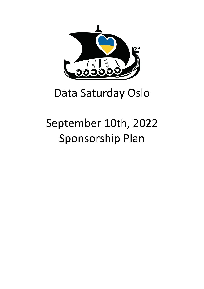

## Data Saturday Oslo

# September 10th, 2022 Sponsorship Plan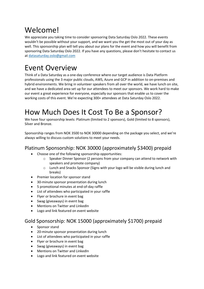### Welcome!

We appreciate you taking time to consider sponsoring Data Saturday Oslo 2022. These events wouldn't be possible without your support, and we want you the get the most out of your day as well. This sponsorship plan will tell you about our plans for the event and how you will benefit from sponsoring Data Saturday Oslo 2022. If you have any questions, please don't hesitate to contact us at datasaturday.oslo@gmail.com

### Event Overview

Think of a Data Saturday as a one-day conference where our target audience is Data Platform professionals using the 3 major public clouds, AWS, Azure and GCP in addition to on-premises and hybrid environments. We bring in volunteer speakers from all over the world, we have lunch on site, and we have a dedicated area set up for our attendees to meet our sponsors. We work hard to make our event a great experience for everyone, especially our sponsors that enable us to cover the working costs of this event. We're expecting 300+ attendees at Data Saturday Oslo 2022.

### How Much Does It Cost To Be a Sponsor?

We have four sponsorship levels: Platinum (limited to 2 sponsors), Gold (limited to 8 sponsors), Silver and Bronze.

Sponsorship ranges from NOK 3500 to NOK 30000 depending on the package you select, and we're always willing to discuss custom solutions to meet your needs.

#### Platinum Sponsorship: NOK 30000 (approximately \$3400) prepaid

- Choose one of the following sponsorship opportunities:
	- $\circ$  Speaker Dinner Sponsor (2 persons from your company can attend to network with speakers and promote company)
	- o Lunch and Snacks Sponsor (Signs with your logo will be visible during lunch and breaks)
- Premier location for sponsor stand
- 30-minute sponsor presentation during lunch
- 5 promotional minutes at end-of-day raffle
- List of attendees who participated in your raffle
- Flyer or brochure in event bag
- Swag (giveaways) in event bag
- Mentions on Twitter and LinkedIn
- Logo and link featured on event website

#### Gold Sponsorship: NOK 15000 (approximately \$1700) prepaid

- Sponsor stand
- 20-minute sponsor presentation during lunch
- List of attendees who participated in your raffle
- Flyer or brochure in event bag
- Swag (giveaways) in event bag
- Mentions on Twitter and LinkedIn
- Logo and link featured on event website